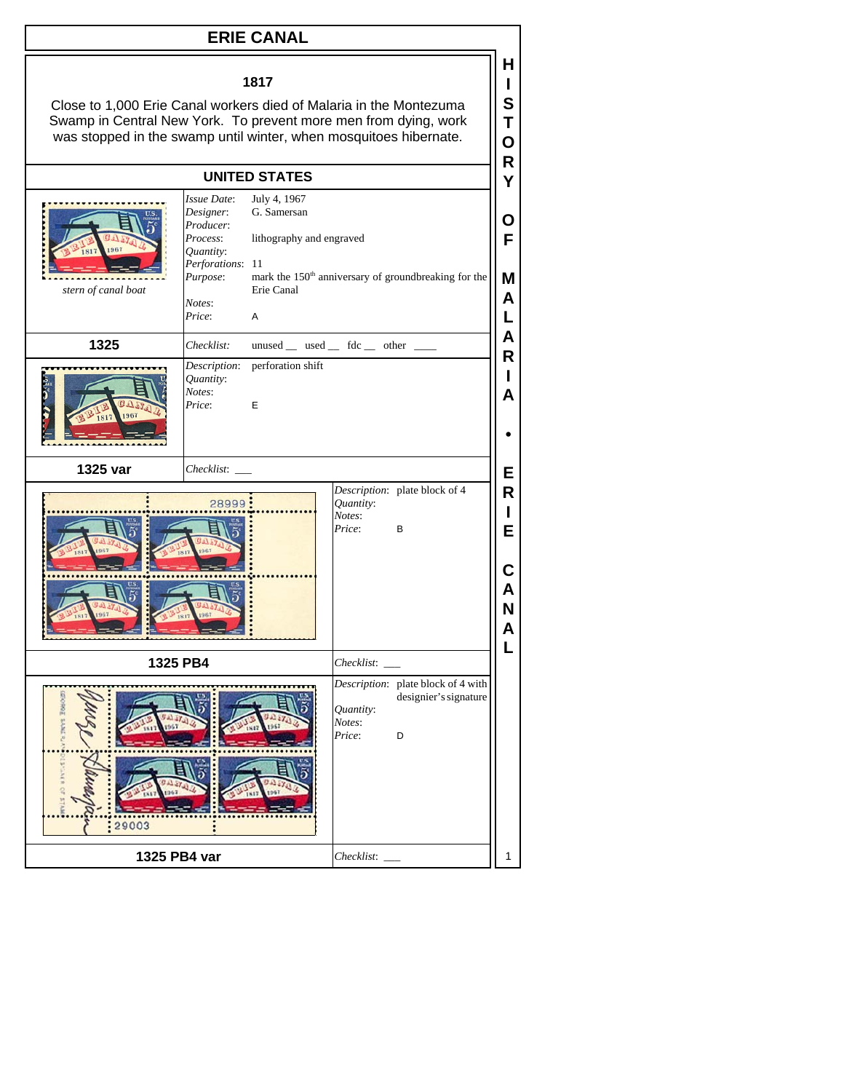## **ERIE CANAL**

## **1817**

**H I S T O R Y**

Close to 1,000 Erie Canal workers died of Malaria in the Montezuma Swamp in Central New York. To prevent more men from dying, work was stopped in the swamp until winter, when mosquitoes hibernate.

## **UNITED STATES**

| 967<br>stern of canal boat | Issue Date:<br>Designer:<br>Producer:<br>Process:<br>Quantity:<br>Perforations: 11<br>Purpose:<br>Notes:<br>Price: | July 4, 1967<br>G. Samersan<br>lithography and engraved<br>Erie Canal<br>A |                               | mark the 150 <sup>th</sup> anniversary of groundbreaking for the | Ο<br>F<br>M<br>A<br>L                           |
|----------------------------|--------------------------------------------------------------------------------------------------------------------|----------------------------------------------------------------------------|-------------------------------|------------------------------------------------------------------|-------------------------------------------------|
| 1325                       | Checklist:                                                                                                         | $unused$ __ used __ fdc __ other __                                        |                               |                                                                  | A<br>$\mathsf{R}$                               |
|                            | Quantity:<br>Notes:<br>Price:                                                                                      | Description: perforation shift<br>E                                        |                               |                                                                  | $\mathbf{I}$<br>A                               |
| 1325 var                   | Checklist:                                                                                                         |                                                                            |                               |                                                                  | E                                               |
|                            | 28999                                                                                                              |                                                                            | Quantity:<br>Notes:<br>Price: | Description: plate block of 4<br>В                               | $\mathsf{R}$<br>L<br>E<br>С<br>A<br>N<br>A<br>L |
| 1325 PB4                   |                                                                                                                    |                                                                            | Checklist:                    |                                                                  |                                                 |
| 29003                      |                                                                                                                    |                                                                            | Quantity:<br>Notes:<br>Price: | Description: plate block of 4 with<br>designier's signature<br>D |                                                 |
| 1325 PB4 var               |                                                                                                                    |                                                                            | Checklist:                    |                                                                  |                                                 |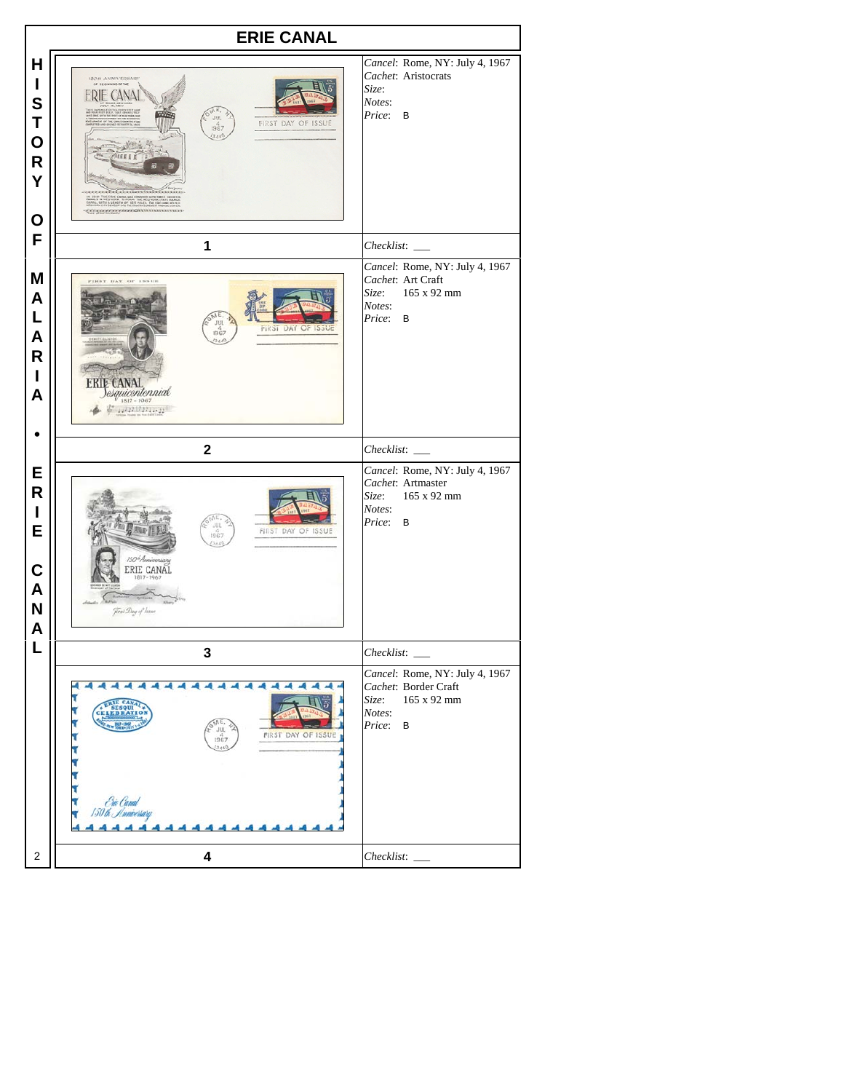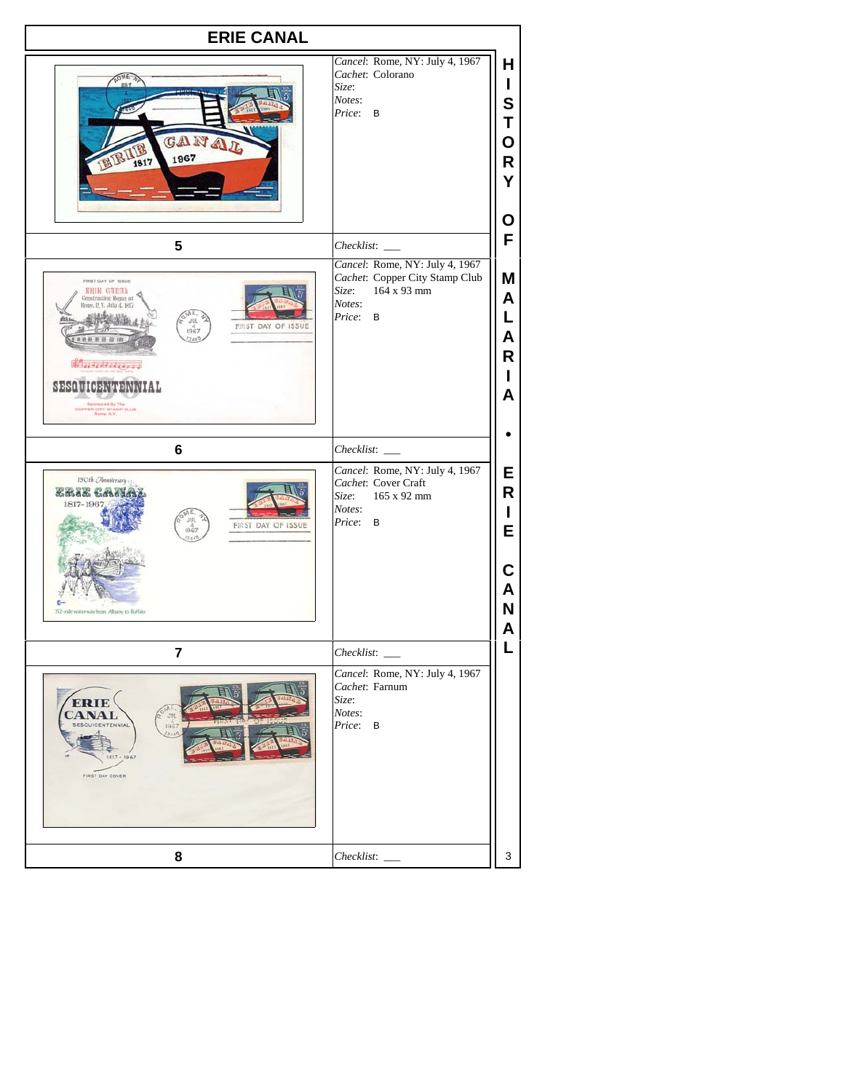| <b>ERIE CANAL</b>                                                                                                                                                                                                                                             |                                                                                                                          |                                      |  |
|---------------------------------------------------------------------------------------------------------------------------------------------------------------------------------------------------------------------------------------------------------------|--------------------------------------------------------------------------------------------------------------------------|--------------------------------------|--|
| CANA<br>1967<br>1817                                                                                                                                                                                                                                          | Cancel: Rome, NY: July 4, 1967<br>Cachet: Colorano<br>Size:<br>Notes:<br>Price:<br>B                                     | H<br>L<br>S<br>Т<br>O<br>R<br>Υ<br>O |  |
| 5                                                                                                                                                                                                                                                             |                                                                                                                          | F                                    |  |
| FIRST DAY OF ISSUE<br><b>HRIE GARAL</b><br>Construction Bonus at<br>ongo, P. V. Jolu 4, 1817<br>JUL<br>FIRST DAY OF ISSUE<br>1967<br>1888898<br>7.65<br><b>Constant Const</b><br>SESQUICENTENNIAL<br>Sponsorel By The<br>COPPER CITY STAMP CLUB<br>Bank, N.Y. | Cancel: Rome, NY: July 4, 1967<br>Cachet: Copper City Stamp Club<br>$164 \times 93$ mm<br>Size:<br>Notes:<br>Price:<br>B | Μ<br>A<br>L<br>А<br>R<br>A           |  |
| 6                                                                                                                                                                                                                                                             | Checklist:                                                                                                               |                                      |  |
| 150th Anniversary<br><b>ERIE CAN</b><br>1817-1967<br><b>JUL</b><br>FIRST DAY OF ISSUE<br>1967<br>SAA!<br>352-mile waterway from Albany to Buffalo                                                                                                             | Cancel: Rome, NY: July 4, 1967<br>Cachet: Cover Craft<br>165 x 92 mm<br>Size:<br>Notes:<br>Price: B                      | Е<br>R<br>E<br>А<br>N                |  |
| $\overline{7}$                                                                                                                                                                                                                                                |                                                                                                                          | L                                    |  |
| ERI<br>JUL.<br>1967<br>TENNIAL<br>73440<br>1967<br>FIRST DAY COVER                                                                                                                                                                                            | Cancel: Rome, NY: July 4, 1967<br>Cachet: Farnum<br>Size:<br>Notes:<br>Price:<br>B                                       |                                      |  |
| 8                                                                                                                                                                                                                                                             | $Checklist:$ $\_$                                                                                                        | 3                                    |  |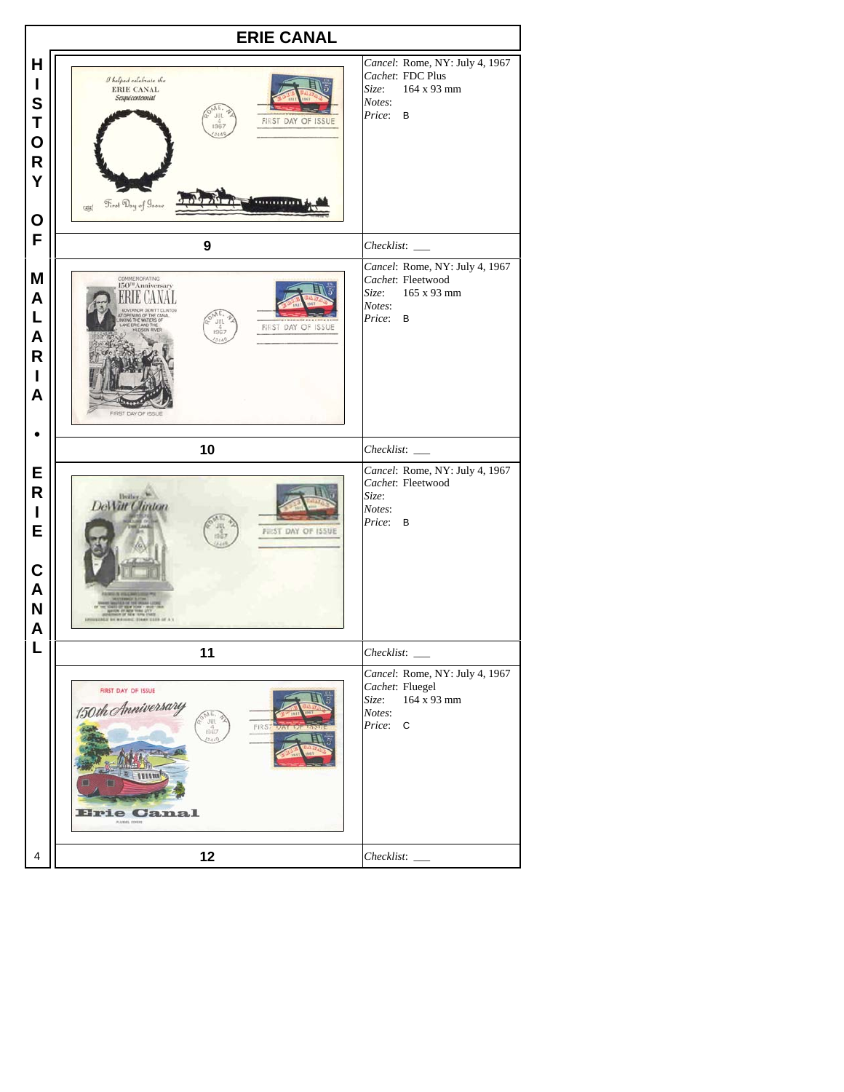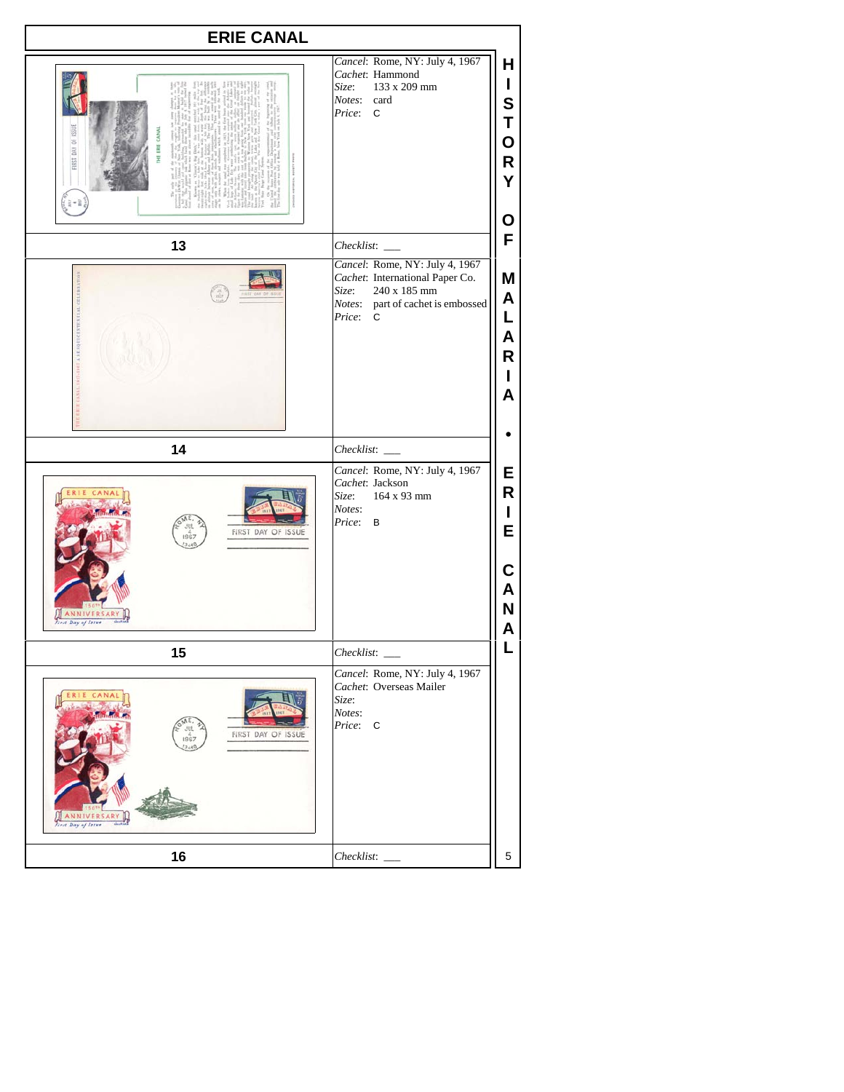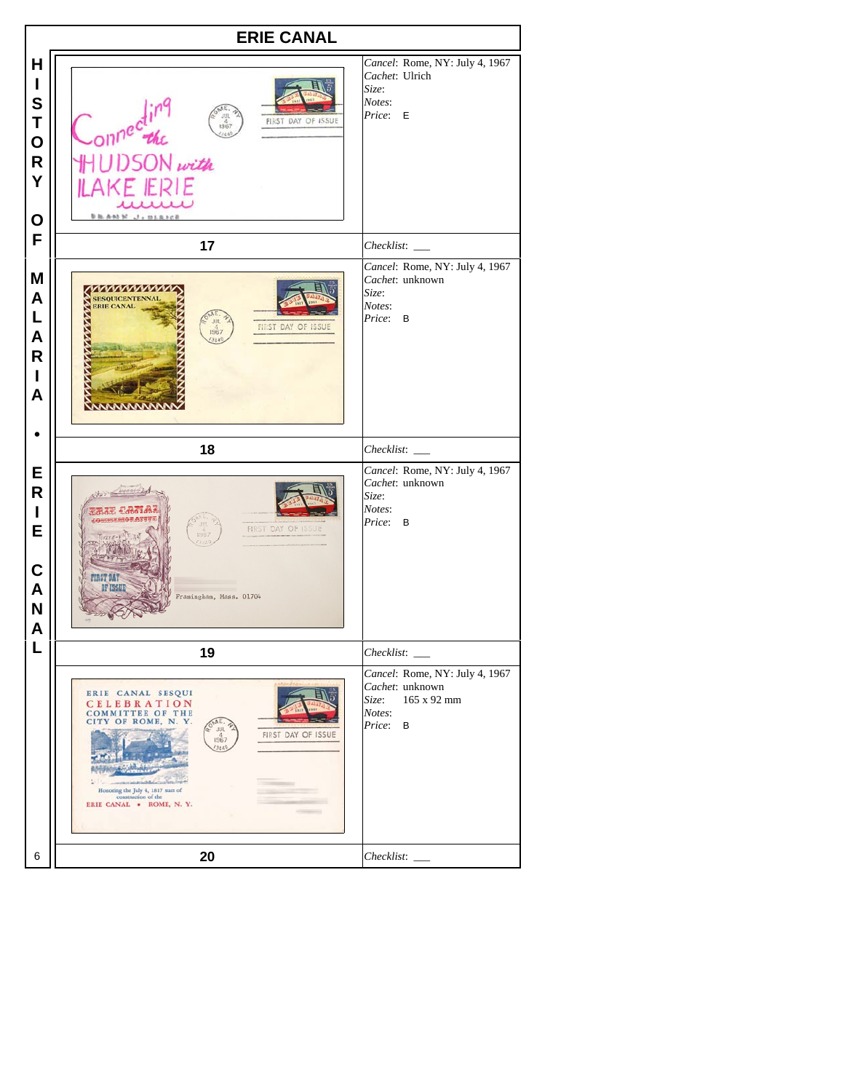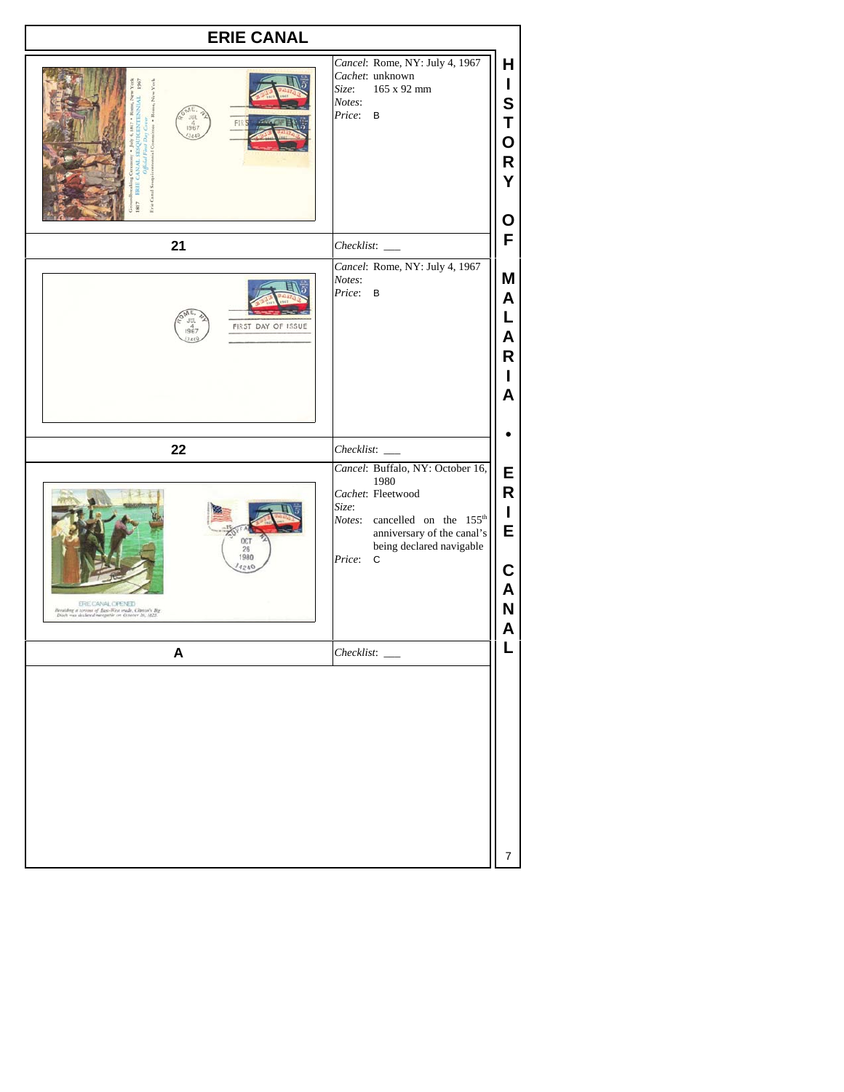| Cancel: Rome, NY: July 4, 1967<br>Cachet: unknown<br>165 x 92 mm<br>Size:<br>Notes:<br>Price: B<br>Checklist:<br>Cancel: Rome, NY: July 4, 1967<br>Notes:<br>Price:<br>B<br>Checklist:       |
|----------------------------------------------------------------------------------------------------------------------------------------------------------------------------------------------|
|                                                                                                                                                                                              |
|                                                                                                                                                                                              |
|                                                                                                                                                                                              |
|                                                                                                                                                                                              |
| Cancel: Buffalo, NY: October 16,<br>1980<br>Cachet: Fleetwood<br>Size:<br>Notes: cancelled on the 155 <sup>th</sup><br>anniversary of the canal's<br>being declared navigable<br>Price:<br>C |
|                                                                                                                                                                                              |
|                                                                                                                                                                                              |
|                                                                                                                                                                                              |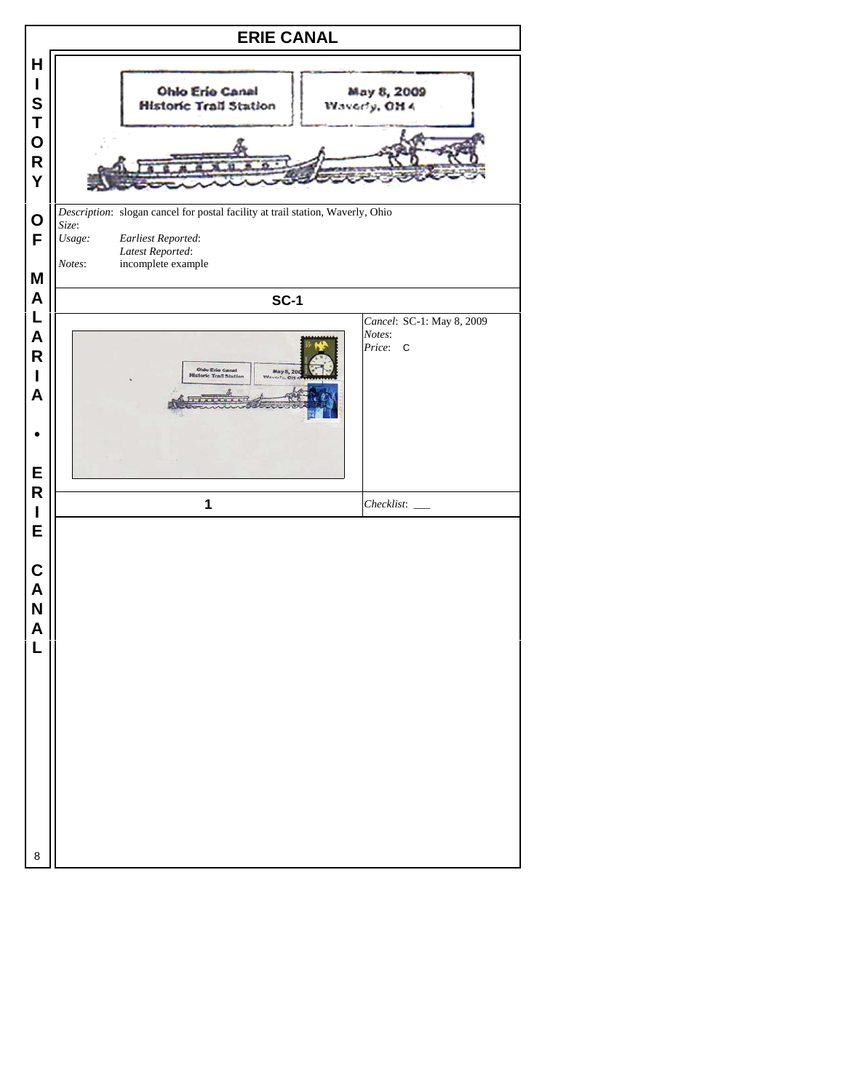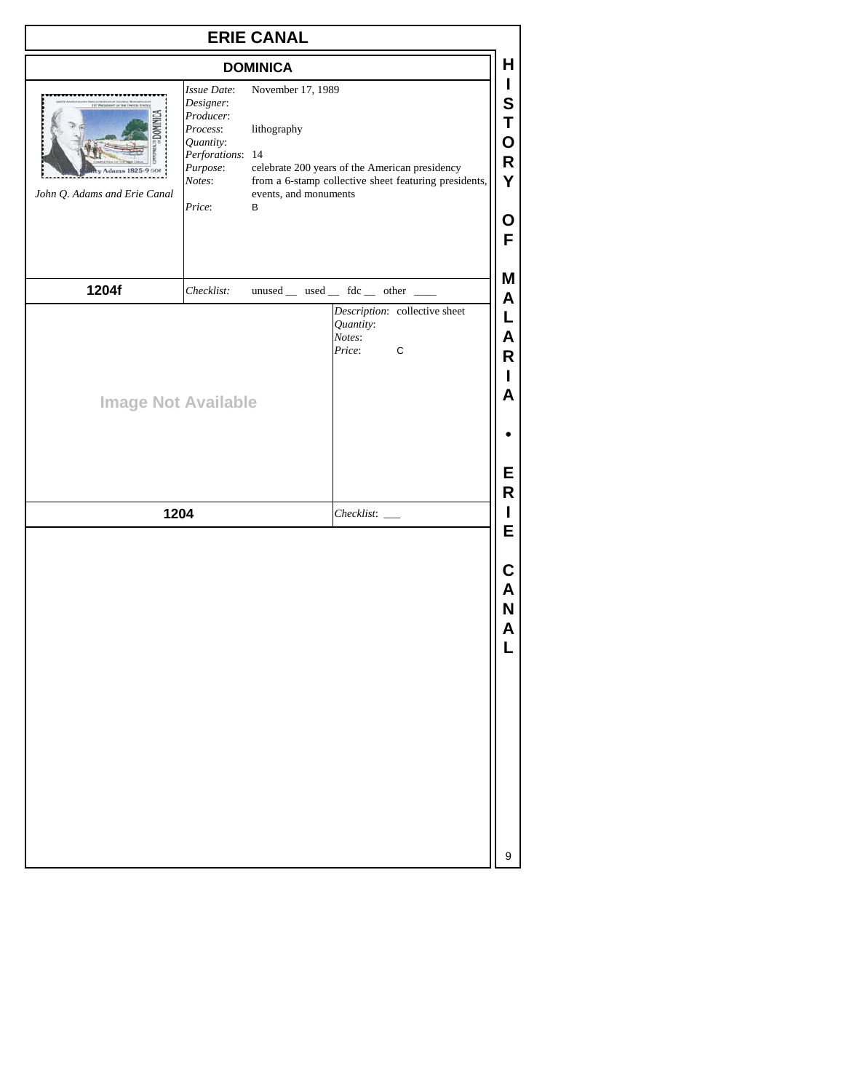| <b>ERIE CANAL</b>                        |                                                                                                                    |                                                                |                                                                                                              |  |
|------------------------------------------|--------------------------------------------------------------------------------------------------------------------|----------------------------------------------------------------|--------------------------------------------------------------------------------------------------------------|--|
|                                          |                                                                                                                    | <b>DOMINICA</b>                                                |                                                                                                              |  |
| dams 182<br>John Q. Adams and Erie Canal | Issue Date:<br>Designer:<br>Producer:<br>Process:<br>Quantity:<br>Perforations: 14<br>Purpose:<br>Notes:<br>Price: | November 17, 1989<br>lithography<br>events, and monuments<br>В | R<br>celebrate 200 years of the American presidency<br>from a 6-stamp collective sheet featuring presidents, |  |
| 1204f                                    | Checklist:                                                                                                         |                                                                | Μ<br>unused _ used _ fdc _ other _                                                                           |  |
| <b>Image Not Available</b>               |                                                                                                                    |                                                                | Quantity:<br>Notes:<br>Price:<br>$\mathbf C$                                                                 |  |
| 1204                                     |                                                                                                                    |                                                                | $Checklist:$ $\_\_$                                                                                          |  |
|                                          |                                                                                                                    |                                                                |                                                                                                              |  |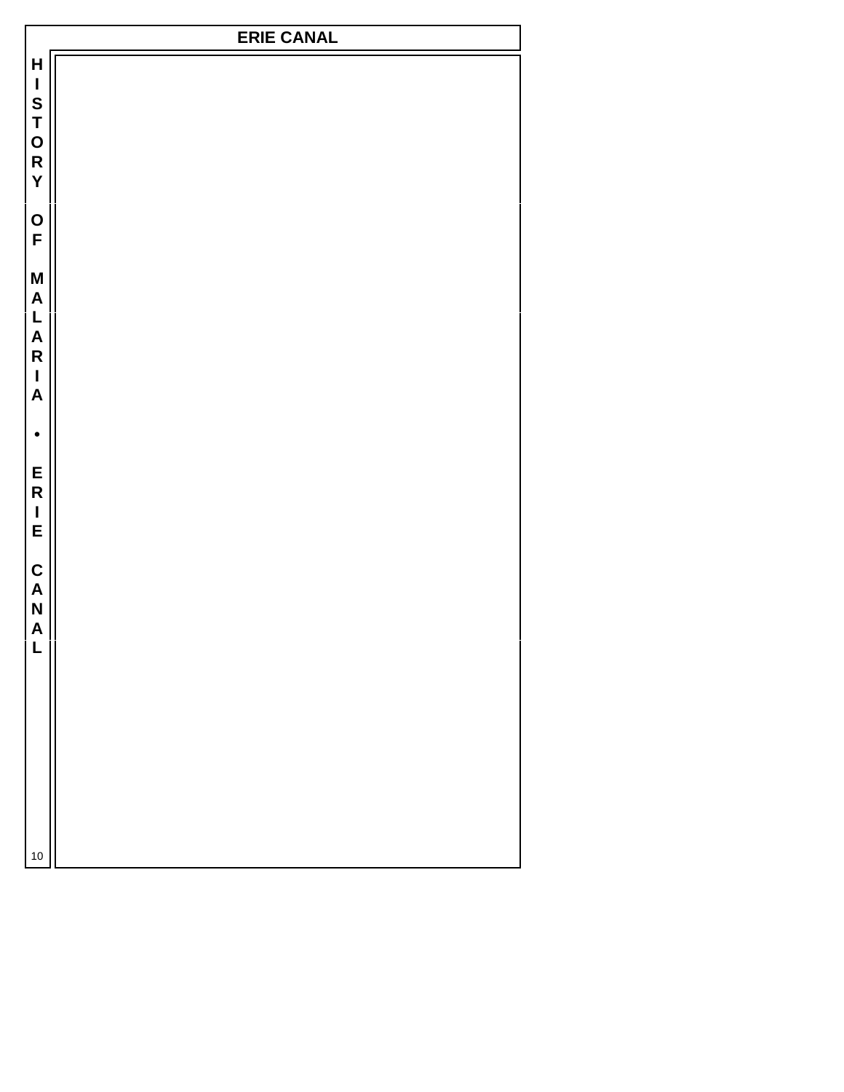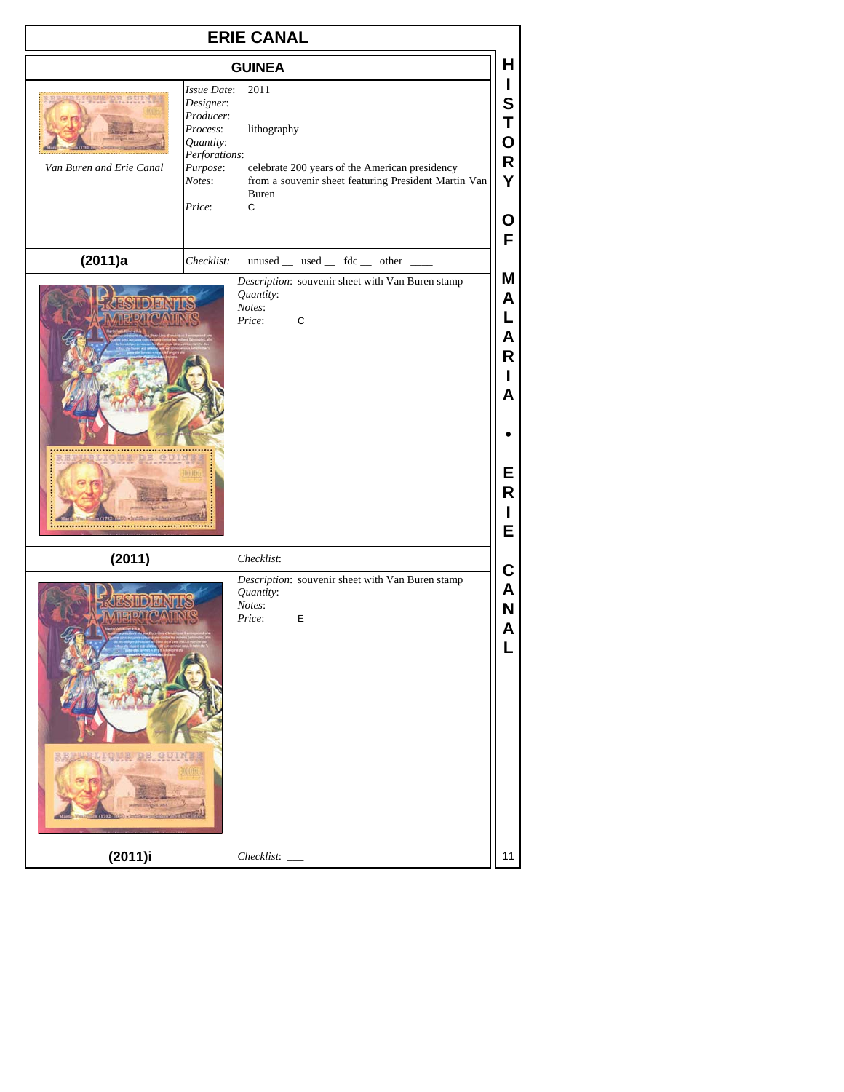| <b>ERIE CANAL</b>        |                                                                                                                                                                                                                                                                                                               |  |  |  |
|--------------------------|---------------------------------------------------------------------------------------------------------------------------------------------------------------------------------------------------------------------------------------------------------------------------------------------------------------|--|--|--|
|                          | н<br><b>GUINEA</b>                                                                                                                                                                                                                                                                                            |  |  |  |
| Van Buren and Erie Canal | L<br><b>Issue Date:</b><br>2011<br>S<br>Designer:<br>Producer:<br>Τ<br>Process:<br>lithography<br>O<br>Quantity:<br>Perforations:<br>R<br>Purpose:<br>celebrate 200 years of the American presidency<br>Υ<br>from a souvenir sheet featuring President Martin Van<br>Notes:<br>Buren<br>Price:<br>C<br>O<br>F |  |  |  |
| (2011)a                  | unused _ used _ fdc _ other _ _<br>Checklist:<br>Μ                                                                                                                                                                                                                                                            |  |  |  |
|                          | Description: souvenir sheet with Van Buren stamp<br>Quantity:<br>A<br>Notes:<br>L<br>Price:<br>C<br>Α<br>R<br>L<br>A<br>Е<br>R<br>L<br>E                                                                                                                                                                      |  |  |  |
| (2011)                   | Checklist:<br>C                                                                                                                                                                                                                                                                                               |  |  |  |
|                          | Description: souvenir sheet with Van Buren stamp<br>Α<br>Quantity:<br>Notes:<br>N<br>Price:<br>Ε<br>Α<br>L.                                                                                                                                                                                                   |  |  |  |
| (2011)i                  | 11<br>Checklist:                                                                                                                                                                                                                                                                                              |  |  |  |